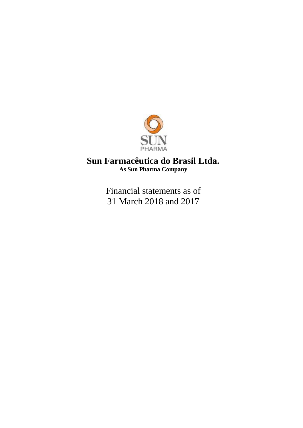

# **Sun Farmacêutica do Brasil Ltda. As Sun Pharma Company**

Financial statements as of 31 March 2018 and 2017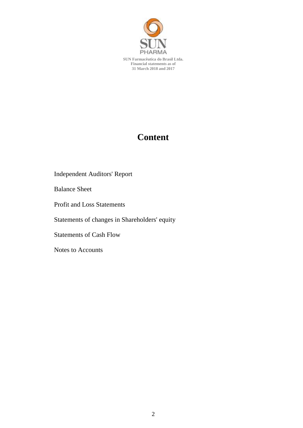

**SUN Farmacêutica do Brasil Ltda. Financial statements as of 31 March 2018 and 2017**

# **Content**

Independent Auditors' Report

Balance Sheet

Profit and Loss Statements

Statements of changes in Shareholders' equity

Statements of Cash Flow

Notes to Accounts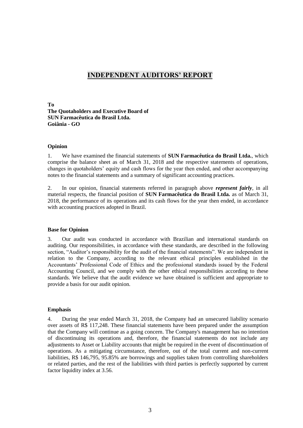# **INDEPENDENT AUDITORS' REPORT**

**To The Quotaholders and Executive Board of SUN Farmacêutica do Brasil Ltda. Goiânia - GO**

#### **Opinion**

1. We have examined the financial statements of **SUN Farmacêutica do Brasil Ltda.**, which comprise the balance sheet as of March 31, 2018 and the respective statements of operations, changes in quotaholders' equity and cash flows for the year then ended, and other accompanying notes to the financial statements and a summary of significant accounting practices.

2. In our opinion, financial statements referred in paragraph above *represent fairly*, in all material respects, the financial position of **SUN Farmacêutica do Brasil Ltda.** as of March 31, 2018, the performance of its operations and its cash flows for the year then ended, in accordance with accounting practices adopted in Brazil.

#### **Base for Opinion**

3. Our audit was conducted in accordance with Brazilian and international standards on auditing. Our responsibilities, in accordance with these standards, are described in the following section, "Auditor's responsibility for the audit of the financial statements". We are independent in relation to the Company, according to the relevant ethical principles established in the Accountants' Professional Code of Ethics and the professional standards issued by the Federal Accounting Council, and we comply with the other ethical responsibilities according to these standards. We believe that the audit evidence we have obtained is sufficient and appropriate to provide a basis for our audit opinion.

#### **Emphasis**

4. During the year ended March 31, 2018, the Company had an unsecured liability scenario over assets of R\$ 117,248. These financial statements have been prepared under the assumption that the Company will continue as a going concern. The Company's management has no intention of discontinuing its operations and, therefore, the financial statements do not include any adjustments to Asset or Liability accounts that might be required in the event of discontinuation of operations. As a mitigating circumstance, therefore, out of the total current and non-current liabilities, R\$ 146,795, 95.85% are borrowings and supplies taken from controlling shareholders or related parties, and the rest of the liabilities with third parties is perfectly supported by current factor liquidity index at 3.56.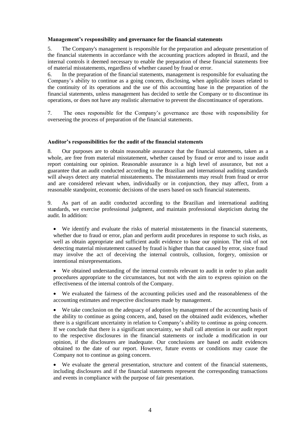# **Management's responsibility and governance for the financial statements**

5. The Company's management is responsible for the preparation and adequate presentation of the financial statements in accordance with the accounting practices adopted in Brazil, and the internal controls it deemed necessary to enable the preparation of these financial statements free of material misstatements, regardless of whether caused by fraud or error.

6. In the preparation of the financial statements, management is responsible for evaluating the Company's ability to continue as a going concern, disclosing, when applicable issues related to the continuity of its operations and the use of this accounting base in the preparation of the financial statements, unless management has decided to settle the Company or to discontinue its operations, or does not have any realistic alternative to prevent the discontinuance of operations.

7. The ones responsible for the Company's governance are those with responsibility for overseeing the process of preparation of the financial statements.

# **Auditor's responsibilities for the audit of the financial statements**

8. Our purposes are to obtain reasonable assurance that the financial statements, taken as a whole, are free from material misstatement, whether caused by fraud or error and to issue audit report containing our opinion. Reasonable assurance is a high level of assurance, but not a guarantee that an audit conducted according to the Brazilian and international auditing standards will always detect any material misstatements. The misstatements may result from fraud or error and are considered relevant when, individually or in conjunction, they may affect, from a reasonable standpoint, economic decisions of the users based on such financial statements.

9. As part of an audit conducted according to the Brazilian and international auditing standards, we exercise professional judgment, and maintain professional skepticism during the audit. In addition:

 We identify and evaluate the risks of material misstatements in the financial statements, whether due to fraud or error, plan and perform audit procedures in response to such risks, as well as obtain appropriate and sufficient audit evidence to base our opinion. The risk of not detecting material misstatement caused by fraud is higher than that caused by error, since fraud may involve the act of deceiving the internal controls, collusion, forgery, omission or intentional misrepresentations.

 We obtained understanding of the internal controls relevant to audit in order to plan audit procedures appropriate to the circumstances, but not with the aim to express opinion on the effectiveness of the internal controls of the Company.

 We evaluated the fairness of the accounting policies used and the reasonableness of the accounting estimates and respective disclosures made by management.

 We take conclusion on the adequacy of adoption by management of the accounting basis of the ability to continue as going concern, and, based on the obtained audit evidences, whether there is a significant uncertainty in relation to Company's ability to continue as going concern. If we conclude that there is a significant uncertainty, we shall call attention in our audit report to the respective disclosures in the financial statements or include a modification in our opinion, if the disclosures are inadequate. Our conclusions are based on audit evidences obtained to the date of our report. However, future events or conditions may cause the Company not to continue as going concern.

 We evaluate the general presentation, structure and content of the financial statements, including disclosures and if the financial statements represent the corresponding transactions and events in compliance with the purpose of fair presentation.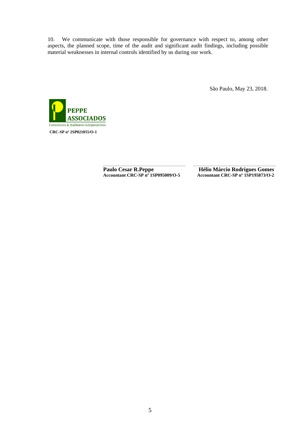10. We communicate with those responsible for governance with respect to, among other aspects, the planned scope, time of the audit and significant audit findings, including possible material weaknesses in internal controls identified by us during our work.

São Paulo, May 23, 2018.



Paulo Cesar R.Peppe<br>Accountant CRC-SP nº 1SP095009/O-5<br>Accountant CRC-SP nº 1SP195873/O-2 **Accountant CRC-SP nº 1SP095009/O-5 Accountant CRC-SP nº 1SP195873/O-2**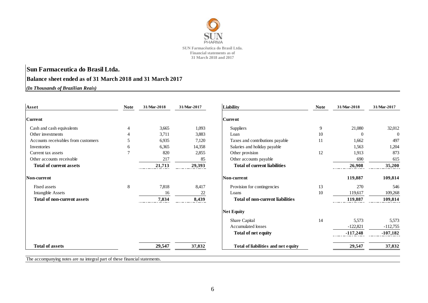

# **Sun Farmaceutica do Brasil Ltda. Balance sheet ended as of 31 March 2018 and 31 March 2017**

*(In Thousands of Brazilian Reais)*

| <b>Note</b>    | 31/Mar-2018 | 31/Mar-2017 | Liability                               | <b>Note</b> | 31/Mar-2018 | 31/Mar-2017    |
|----------------|-------------|-------------|-----------------------------------------|-------------|-------------|----------------|
|                |             |             | <b>Current</b>                          |             |             |                |
| 4              | 3,665       | 1,093       | Suppliers                               | 9           | 21,080      | 32,012         |
|                | 3,711       | 3,883       | Loan                                    | 10          | $\Omega$    | $\overline{0}$ |
|                | 6,935       | 7,120       | Taxes and contributions payable         | 11          | 1,662       | 497            |
| 6              | 6,365       | 14,358      | Salaries and holiday payable            |             | 1,563       | 1,204          |
| $\overline{7}$ | 820         | 2,855       | Other provision                         | 12          | 1,913       | 873            |
|                | 217         | 85          | Other accounts payable                  |             | 690         | 615            |
|                | 21,713      | 29,393      | <b>Total of current liabilities</b>     |             | 26,908      | 35,200         |
|                |             |             | Non-current                             |             | 119,887     | 109,814        |
| 8              | 7,818       | 8,417       | Provision for contingencies             | 13          | 270         | 546            |
|                | 16          | 22          | Loans                                   | 10          | 119,617     | 109,268        |
|                | 7,834       | 8,439       | <b>Total of non-current liabilities</b> |             | 119,887     | 109,814        |
|                |             |             | <b>Net Equity</b>                       |             |             |                |
|                |             |             | Share Capital                           | 14          | 5,573       | 5,573          |
|                |             |             | Accumulated losses                      |             | $-122,821$  | $-112,755$     |
|                |             |             | <b>Total of net equity</b>              |             | $-117,248$  | $-107,182$     |
|                | 29,547      | 37,832      | Total of liabilities and net equity     |             | 29,547      | 37,832         |
|                |             |             |                                         |             |             |                |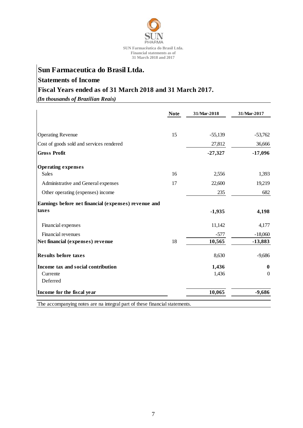

# **Sun Farmaceutica do Brasil Ltda.**

# **Statements of Income**

# **Fiscal Years ended as of 31 March 2018 and 31 March 2017.**

*(In thousands of Brazilian Reais)*

|                                                      | <b>Note</b> | 31/Mar-2018 | 31/Mar-2017      |
|------------------------------------------------------|-------------|-------------|------------------|
| <b>Operating Revenue</b>                             | 15          | $-55,139$   | $-53,762$        |
| Cost of goods sold and services rendered             |             | 27,812      | 36,666           |
| <b>Gross Profit</b>                                  |             | $-27,327$   | $-17,096$        |
| <b>Operating expenses</b>                            |             |             |                  |
| Sales                                                | 16          | 2,556       | 1,393            |
| Administrative and General expenses                  | 17          | 22,600      | 19,219           |
| Other operating (expenses) income                    |             | 235         | 682              |
| Earnings before net financial (expenses) revenue and |             |             |                  |
| taxes                                                |             | $-1,935$    | 4,198            |
| Financial expenses                                   |             | 11,142      | 4,177            |
| Financial revenues                                   |             | $-577$      | $-18,060$        |
| Net financial (expenses) revenue                     | 18          | 10,565      | $-13,883$        |
| <b>Results before taxes</b>                          |             | 8,630       | $-9,686$         |
| Income tax and social contribution                   |             | 1,436       | $\bf{0}$         |
| Currente                                             |             | 1,436       | $\boldsymbol{0}$ |
| Deferred                                             |             |             |                  |
| Income for the fiscal year                           |             | 10,065      | $-9,686$         |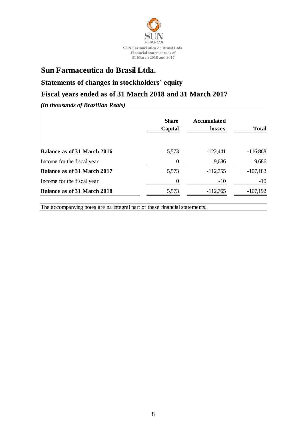

# **Sun Farmaceutica do Brasil Ltda.**

# **Statements of changes in stockholders´ equity**

# **Fiscal years ended as of 31 March 2018 and 31 March 2017**

*(In thousands of Brazilian Reais)*

|                                    | <b>Share</b><br>Capital | <b>Accumulated</b><br>losses | <b>Total</b> |
|------------------------------------|-------------------------|------------------------------|--------------|
| Balance as of 31 March 2016        | 5,573                   | $-122,441$                   | $-116,868$   |
| Income for the fiscal year         | $\boldsymbol{0}$        | 9,686                        | 9,686        |
| Balance as of 31 March 2017        | 5,573                   | $-112,755$                   | $-107,182$   |
| Income for the fiscal year         | $\theta$                | $-10$                        | $-10$        |
| <b>Balance as of 31 March 2018</b> | 5,573                   | $-112,765$                   | $-107,192$   |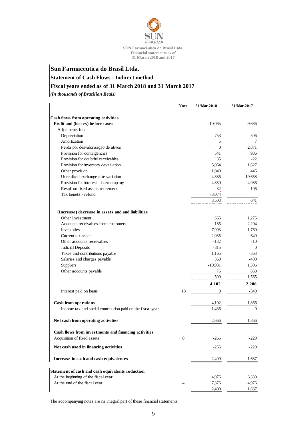

# **Sun Farmaceutica do Brasil Ltda. Statement of Cash Flows - Indirect method Fiscal years ended as of 31 March 2018 and 31 March 2017**

*(In thousands of Brazilian Reais)*

|                                                            | <b>Note</b>    | 31/Mar-2018      | 31/Mar-2017    |
|------------------------------------------------------------|----------------|------------------|----------------|
| Cash flows from operating activities                       |                |                  |                |
| Profit and (losses) before taxes                           |                | $-10,065$        | 9,686          |
| Adjusments for:                                            |                |                  |                |
| Depreciation                                               |                | 753              | 506            |
| Amortization                                               |                | 5                | 7              |
| Perda por desvalorização de ativos                         |                | $\Omega$         | 2,871          |
| Provision for contingencies                                |                | 541              | 986            |
| Provision for doubtful receivables                         |                | 35               | $-22$          |
| Provision for inventory devaluation                        |                | 5,064            | 1.627          |
| Other provision                                            |                | 1,040            | 446            |
| Unrealized exchange rate variation                         |                | 4,386            | $-19,658$      |
| Provision for interest - intercompany                      |                | 4,850            | 4,086          |
| Result on fixed assets retirement                          |                | $-32$            | 106            |
| Tax benetit - refund                                       |                | $-3,074$         |                |
|                                                            |                | 3,503            | 641            |
| (Increase) decrease in assets and and liabilities          |                |                  |                |
| Other Investment                                           |                | 665              | 1,275          |
| Accounts receivables from customers                        |                | 185              | $-2,204$       |
| Investories                                                |                | 7,993            | 1,760          |
| Current tax assets                                         |                | 2,035            | -649           |
| Other accounts receivables                                 |                | $-132$           | $-10$          |
| Judicial Deposits                                          |                | $-815$           | $\theta$       |
| Taxes and contributions payable                            |                | 1,165            | $-363$         |
| Salaries and charges payable                               |                | 360              | $-400$         |
| Suppliers                                                  |                | $-10,931$        | 1,306          |
| Other accounts payable                                     |                | 75               | 850            |
|                                                            |                | 599              | 1,565          |
|                                                            |                | 4,102            | 2,206          |
| Interest paid on loans                                     | 18             | $\boldsymbol{0}$ | $-340$         |
| <b>Cash from operations</b>                                |                | 4,102            | 1,866          |
| Income tax and social contribution paid on the fiscal year |                | $-1,436$         | $\overline{0}$ |
| Net cash from operating activities                         |                | 2,666            | 1,866          |
| Cash flows from investments and financing activities       |                |                  |                |
| Acquisition of fixed assets                                | 8              | $-266$           | $-229$         |
| Net cash used in financing activities                      |                | -266             | $-229$         |
| Increase in cash and cash equivalentes                     |                | 2,400            | 1,637          |
| Statement of cash and cash equivalents reduction           |                |                  |                |
| At the beginning of the fiscal year                        |                | 4,976            | 3,339          |
| At the end of the fiscal year                              | $\overline{4}$ | 7,376            | 4,976          |
|                                                            |                | 2,400            | 1,637          |
|                                                            |                |                  |                |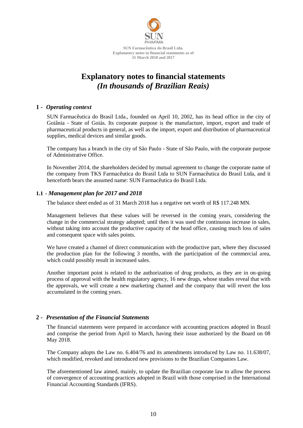

# **Explanatory notes to financial statements** *(In thousands of Brazilian Reais)*

# **1 -** *Operating context*

SUN Farmacêutica do Brasil Ltda., founded on April 10, 2002, has its head office in the city of Goiânia - State of Goiás. Its corporate purpose is the manufacture, import, export and trade of pharmaceutical products in general, as well as the import, export and distribution of pharmaceutical supplies, medical devices and similar goods.

The company has a branch in the city of São Paulo - State of São Paulo, with the corporate purpose of Administrative Office.

In November 2014, the shareholders decided by mutual agreement to change the corporate name of the company from TKS Farmacêutica do Brasil Ltda to SUN Farmacêutica do Brasil Ltda, and it henceforth bears the assumed name: SUN Farmacêutica do Brasil Ltda.

# **1.1 -** *Management plan for 2017 and 2018*

The balance sheet ended as of 31 March 2018 has a negative net worth of R\$ 117.248 MN.

Management believes that these values will be reversed in the coming years, considering the change in the commercial strategy adopted; until then it was used the continuous increase in sales, without taking into account the productive capacity of the head office, causing much loss of sales and consequent space with sales points.

We have created a channel of direct communication with the productive part, where they discussed the production plan for the following 3 months, with the participation of the commercial area, which could possibly result in increased sales.

Another important point is related to the authorization of drug products, as they are in on-going process of approval with the health regulatory agency, 16 new drugs, whose studies reveal that with the approvals, we will create a new marketing channel and the company that will revert the loss accumulated in the coming years.

# **2 -** *Presentation of the Financial Statements*

The financial statements were prepared in accordance with accounting practices adopted in Brazil and comprise the period from April to March, having their issue authorized by the Board on 08 May 2018.

The Company adopts the Law no. 6.404/76 and its amendments introduced by Law no. 11.638/07, which modified, revoked and introduced new provisions to the Brazilian Companies Law.

The aforementioned law aimed, mainly, to update the Brazilian corporate law to allow the process of convergence of accounting practices adopted in Brazil with those comprised in the International Financial Accounting Standards (IFRS).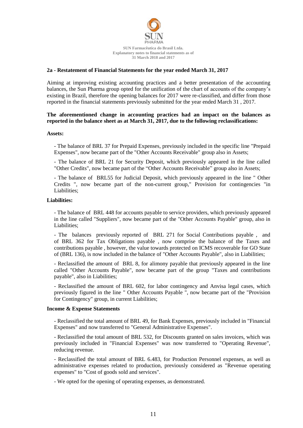

# **2a - Restatement of Financial Statements for the year ended March 31, 2017**

Aiming at improving existing accounting practices and a better presentation of the accounting balances, the Sun Pharma group opted for the unification of the chart of accounts of the company's existing in Brazil, therefore the opening balances for 2017 were re-classified, and differ from those reported in the financial statements previously submitted for the year ended March 31 , 2017.

### **The aforementioned change in accounting practices had an impact on the balances as reported in the balance sheet as at March 31, 2017, due to the following reclassifications:**

#### **Assets:**

- The balance of BRL 37 for Prepaid Expenses, previously included in the specific line "Prepaid Expenses", now became part of the "Other Accounts Receivable" group also in Assets;

- The balance of BRL 21 for Security Deposit, which previously appeared in the line called "Other Credits", now became part of the "Other Accounts Receivable" group also in Assets;

- The balance of BRL55 for Judicial Deposit, which previously appeared in the line " Other Credits ", now became part of the non-current group," Provision for contingencies "in Liabilities;

### **Liabilities:**

- The balance of BRL 448 for accounts payable to service providers, which previously appeared in the line called "Suppliers", now became part of the "Other Accounts Payable" group, also in Liabilities;

- The balances previously reported of BRL 271 for Social Contributions payable , and of BRL 362 for Tax Obligations payable , now comprise the balance of the Taxes and contributions payable , however, the value towards protected on ICMS recoverable for GO State of (BRL 136), is now included in the balance of "Other Accounts Payable", also in Liabilities;

- Reclassified the amount of BRL 8, for alimony payable that previously appeared in the line called "Other Accounts Payable", now became part of the group "Taxes and contributions payable", also in Liabilities;

- Reclassified the amount of BRL 602, for labor contingency and Anvisa legal cases, which previously figured in the line " Other Accounts Payable ", now became part of the "Provision for Contingency" group, in current Liabilities;

#### **Income & Expense Statements**

- Reclassified the total amount of BRL 49, for Bank Expenses, previously included in "Financial Expenses" and now transferred to "General Administrative Expenses".

- Reclassified the total amount of BRL 532, for Discounts granted on sales invoices, which was previously included in "Financial Expenses" was now transferred to "Operating Revenue", reducing revenue.

- Reclassified the total amount of BRL 6.483, for Production Personnel expenses, as well as administrative expenses related to production, previously considered as "Revenue operating expenses" to "Cost of goods sold and services".

- We opted for the opening of operating expenses, as demonstrated.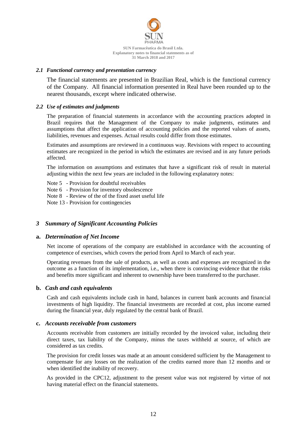

# *2.1 Functional currency and presentation currency*

The financial statements are presented in Brazilian Real, which is the functional currency of the Company. All financial information presented in Real have been rounded up to the nearest thousands, except where indicated otherwise.

### *2.2 Use of estimates and judgments*

The preparation of financial statements in accordance with the accounting practices adopted in Brazil requires that the Management of the Company to make judgments, estimates and assumptions that affect the application of accounting policies and the reported values of assets, liabilities, revenues and expenses. Actual results could differ from those estimates.

Estimates and assumptions are reviewed in a continuous way. Revisions with respect to accounting estimates are recognized in the period in which the estimates are revised and in any future periods affected.

The information on assumptions and estimates that have a significant risk of result in material adjusting within the next few years are included in the following explanatory notes:

- Note 5 Provision for doubtful receivables
- Note 6 Provision for inventory obsolescence
- Note 8 Review of the of the fixed asset useful life

Note 13 - Provision for contingencies

# *3 Summary of Significant Accounting Policies*

#### **a.** *Determination of Net Income*

Net income of operations of the company are established in accordance with the accounting of competence of exercises, which covers the period from April to March of each year.

Operating revenues from the sale of products, as well as costs and expenses are recognized in the outcome as a function of its implementation, i.e., when there is convincing evidence that the risks and benefits more significant and inherent to ownership have been transferred to the purchaser.

# **b.** *Cash and cash equivalents*

Cash and cash equivalents include cash in hand, balances in current bank accounts and financial investments of high liquidity. The financial investments are recorded at cost, plus income earned during the financial year, duly regulated by the central bank of Brazil.

#### **c.** *Accounts receivable from customers*

Accounts receivable from customers are initially recorded by the invoiced value, including their direct taxes, tax liability of the Company, minus the taxes withheld at source, of which are considered as tax credits.

The provision for credit losses was made at an amount considered sufficient by the Management to compensate for any losses on the realization of the credits earned more than 12 months and or when identified the inability of recovery.

As provided in the CPC12, adjustment to the present value was not registered by virtue of not having material effect on the financial statements.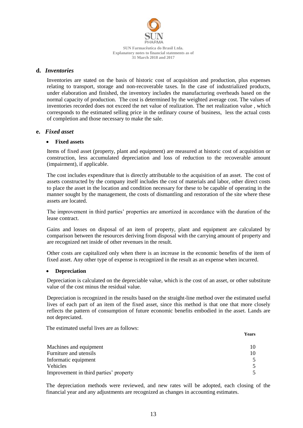

# **d.** *Inventories*

Inventories are stated on the basis of historic cost of acquisition and production, plus expenses relating to transport, storage and non-recoverable taxes. In the case of industrialized products, under elaboration and finished, the inventory includes the manufacturing overheads based on the normal capacity of production. The cost is determined by the weighted average cost. The values of inventories recorded does not exceed the net value of realization. The net realization value , which corresponds to the estimated selling price in the ordinary course of business, less the actual costs of completion and those necessary to make the sale.

# **e.** *Fixed asset*

# **Fixed assets**

Items of fixed asset (property, plant and equipment) are measured at historic cost of acquisition or construction, less accumulated depreciation and loss of reduction to the recoverable amount (impairment), if applicable.

The cost includes expenditure that is directly attributable to the acquisition of an asset. The cost of assets constructed by the company itself includes the cost of materials and labor, other direct costs to place the asset in the location and condition necessary for these to be capable of operating in the manner sought by the management, the costs of dismantling and restoration of the site where these assets are located.

The improvement in third parties' properties are amortized in accordance with the duration of the lease contract.

Gains and losses on disposal of an item of property, plant and equipment are calculated by comparison between the resources deriving from disposal with the carrying amount of property and are recognized net inside of other revenues in the result.

Other costs are capitalized only when there is an increase in the economic benefits of the item of fixed asset. Any other type of expense is recognized in the result as an expense when incurred.

# **Depreciation**

Depreciation is calculated on the depreciable value, which is the cost of an asset, or other substitute value of the cost minus the residual value.

Depreciation is recognized in the results based on the straight-line method over the estimated useful lives of each part of an item of the fixed asset, since this method is that one that more closely reflects the pattern of consumption of future economic benefits embodied in the asset. Lands are not depreciated.

The estimated useful lives are as follows:

|                                        | <b>Years</b> |
|----------------------------------------|--------------|
| Machines and equipment                 | 10           |
| Furniture and utensils                 | 10           |
| Informatic equipment                   |              |
| <b>Vehicles</b>                        |              |
| Improvement in third parties' property |              |

The depreciation methods were reviewed, and new rates will be adopted, each closing of the financial year and any adjustments are recognized as changes in accounting estimates.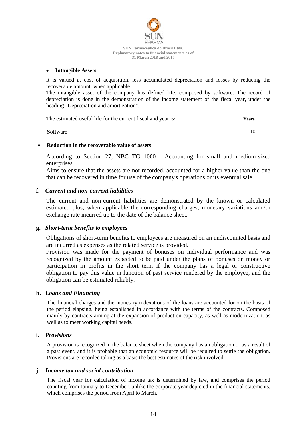

### **Intangible Assets**

It is valued at cost of acquisition, less accumulated depreciation and losses by reducing the recoverable amount, when applicable.

The intangible asset of the company has defined life, composed by software. The record of depreciation is done in the demonstration of the income statement of the fiscal year, under the heading "Depreciation and amortization".

| The estimated useful life for the current fiscal and year is: | <b>Years</b> |
|---------------------------------------------------------------|--------------|
|---------------------------------------------------------------|--------------|

Software 10

# **Reduction in the recoverable value of assets**

According to Section 27, NBC TG 1000 - Accounting for small and medium-sized enterprises.

Aims to ensure that the assets are not recorded, accounted for a higher value than the one that can be recovered in time for use of the company's operations or its eventual sale.

# **f.** *Current and non-current liabilities*

The current and non-current liabilities are demonstrated by the known or calculated estimated plus, when applicable the corresponding charges, monetary variations and/or exchange rate incurred up to the date of the balance sheet.

# **g.** *Short-term benefits to employees*

Obligations of short-term benefits to employees are measured on an undiscounted basis and are incurred as expenses as the related service is provided.

Provision was made for the payment of bonuses on individual performance and was recognized by the amount expected to be paid under the plans of bonuses on money or participation in profits in the short term if the company has a legal or constructive obligation to pay this value in function of past service rendered by the employee, and the obligation can be estimated reliably.

# **h.** *Loans and Financing*

The financial charges and the monetary indexations of the loans are accounted for on the basis of the period elapsing, being established in accordance with the terms of the contracts. Composed mainly by contracts aiming at the expansion of production capacity, as well as modernization, as well as to meet working capital needs.

# **i.** *Provisions*

A provision is recognized in the balance sheet when the company has an obligation or as a result of a past event, and it is probable that an economic resource will be required to settle the obligation. Provisions are recorded taking as a basis the best estimates of the risk involved.

# **j.** *Income tax and social contribution*

The fiscal year for calculation of income tax is determined by law, and comprises the period counting from January to December, unlike the corporate year depicted in the financial statements, which comprises the period from April to March.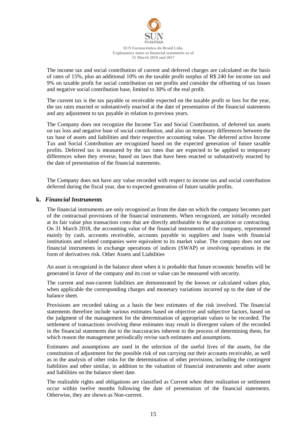

The income tax and social contribution of current and deferred charges are calculated on the basis of rates of 15%, plus an additional 10% on the taxable profit surplus of R\$ 240 for income tax and 9% on taxable profit for social contribution on net profits and consider the offsetting of tax losses and negative social contribution base, limited to 30% of the real profit.

The current tax is the tax payable or receivable expected on the taxable profit or loss for the year, the tax rates enacted or substantively enacted at the date of presentation of the financial statements and any adjustment to tax payable in relation to previous years.

The Company does not recognize the Income Tax and Social Contribution, of deferred tax assets on tax loss and negative base of social contribution, and also on temporary differences between the tax base of assets and liabilities and their respective accounting value. The deferred active Income Tax and Social Contribution are recognized based on the expected generation of future taxable profits. Deferred tax is measured by the tax rates that are expected to be applied to temporary differences when they reverse, based on laws that have been enacted or substantively enacted by the date of presentation of the financial statements.

The Company does not have any value recorded with respect to income tax and social contribution deferred during the fiscal year, due to expected generation of future taxable profits.

# **k.** *Financial Instruments*

The financial instruments are only recognized as from the date on which the company becomes part of the contractual provisions of the financial instruments. When recognized, are initially recorded at its fair value plus transaction costs that are directly attributable to the acquisition or contracting. On 31 March 2018, the accounting value of the financial instruments of the company, represented mainly by cash, accounts receivable, accounts payable to suppliers and loans with financial institutions and related companies were equivalent to its market value. The company does not use financial instruments in exchange operations of indices (SWAP) or involving operations in the form of derivatives risk. Other Assets and Liabilities

An asset is recognized in the balance sheet when it is probable that future economic benefits will be generated in favor of the company and its cost or value can be measured with security.

The current and non-current liabilities are demonstrated by the known or calculated values plus, when applicable the corresponding charges and monetary variations incurred up to the date of the balance sheet.

Provisions are recorded taking as a basis the best estimates of the risk involved. The financial statements therefore include various estimates based on objective and subjective factors, based on the judgment of the management for the determination of appropriate values to be recorded. The settlement of transactions involving these estimates may result in divergent values of the recorded in the financial statements due to the inaccuracies inherent to the process of determining them, for which reason the management periodically revise such estimates and assumptions.

Estimates and assumptions are used in the selection of the useful lives of the assets, for the constitution of adjustment for the possible risk of not carrying out their accounts receivable, as well as in the analysis of other risks for the determination of other provisions, including the contingent liabilities and other similar, in addition to the valuation of financial instruments and other assets and liabilities on the balance sheet date.

The realizable rights and obligations are classified as Current when their realization or settlement occur within twelve months following the date of presentation of the financial statements. Otherwise, they are shown as Non-current.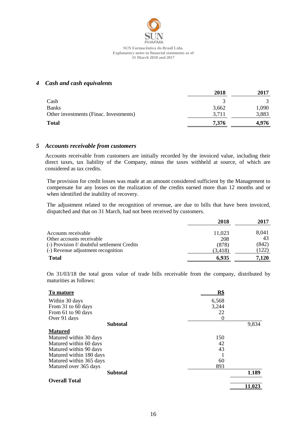

# *4 Cash and cash equivalents*

|                                        | 2018  | 2017  |
|----------------------------------------|-------|-------|
| Cash                                   |       |       |
| <b>Banks</b>                           | 3,662 | 1,090 |
| Other investments (Finac. Investments) | 3,711 | 3,883 |
| <b>Total</b>                           | 7,376 | 4,976 |

#### *5 Accounts receivable from customers*

Accounts receivable from customers are initially recorded by the invoiced value, including their direct taxes, tax liability of the Company, minus the taxes withheld at source, of which are considered as tax credits.

The provision for credit losses was made at an amount considered sufficient by the Management to compensate for any losses on the realization of the credits earned more than 12 months and or when identified the inability of recovery.

The adjustment related to the recognition of revenue, are due to bills that have been invoiced, dispatched and that on 31 March, had not been received by customers.

|                                              | 2018     | 2017  |
|----------------------------------------------|----------|-------|
| Accounts receivable                          | 11,023   | 8,041 |
| Other accounts receivable                    | 208      | 43    |
| (-) Provision f/ doubtful settlement Credits | (878)    | (842) |
| (-) Revenue adjustment recognition           | (3, 418) | 122   |
| <b>Total</b>                                 | 6,935    | 7,120 |

On 31/03/18 the total gross value of trade bills receivable from the company, distributed by maturities as follows:

| To mature               | R\$      |        |
|-------------------------|----------|--------|
| Within 30 days          | 6,568    |        |
| From 31 to 60 days      | 3,244    |        |
| From 61 to 90 days      | 22       |        |
| Over 91 days            | $\theta$ |        |
| <b>Subtotal</b>         |          | 9,834  |
| <b>Matured</b>          |          |        |
| Matured within 30 days  | 150      |        |
| Matured within 60 days  | 42       |        |
| Matured within 90 days  | 43       |        |
| Matured within 180 days |          |        |
| Matured within 365 days | 60       |        |
| Matured over 365 days   | 893      |        |
| <b>Subtotal</b>         |          | 1,189  |
| <b>Overall Total</b>    |          |        |
|                         |          | 11,023 |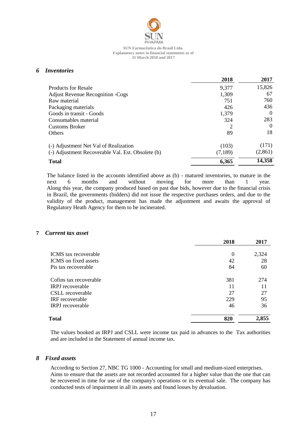

# *6 Inventories*

|                                                   | 2018    | 2017     |
|---------------------------------------------------|---------|----------|
| <b>Products for Resale</b>                        | 9,377   | 15,826   |
| <b>Adjust Revenue Recognition -Cogs</b>           | 1,309   | 67       |
| Raw material                                      | 751     | 760      |
| Packaging materials                               | 426     | 436      |
| Goods in transit - Goods                          | 1,379   | $\Omega$ |
| Consumables material                              | 324     | 283      |
| <b>Customs Broker</b>                             | 2       | $\Omega$ |
| <b>Others</b>                                     | 89      | 18       |
| (-) Adjustment Net Val of Realization             | (103)   | (171)    |
| (-) Adjustment Recoverable Val. Est. Obsolete (b) | (7,189) | (2,861)  |
| <b>Total</b>                                      | 6,365   | 14,358   |

The balance listed in the accounts identified above as (b) - matured inventories, to mature in the next 6 months and without moving for more than 1 year. Along this year, the company produced based on past due bids, however due to the financial crisis in Brazil, the governments (bidders) did not issue the respective purchases orders, and due to the validity of the product, management has made the adjustment and awaits the approval of Regulatory Heath Agency for them to be incinerated.

# **7** *Current tax asset*

|                             | 2018           | 2017  |
|-----------------------------|----------------|-------|
| <b>ICMS</b> tax recoverable | $\overline{0}$ | 2,324 |
| ICMS on fixed assets        | 42             | 28    |
| Pis tax recoverable         | 84             | 60    |
| Cofins tax recoverable      | 381            | 274   |
| <b>IRPJ</b> recoverable     | 11             | 11    |
| CSLL recoverable            | 27             | 27    |
| IRF recoverable             | 229            | 95    |
| <b>IRPJ</b> recoverable     | 46             | 36    |
| Total                       | 820            | 2,855 |

The values booked as IRPJ and CSLL were income tax paid in advances to the Tax authorities and are included in the Statement of annual income tax.

# *8 Fixed assets*

According to Section 27, NBC TG 1000 - Accounting for small and medium-sized enterprises. Aims to ensure that the assets are not recorded accounted for a higher value than the one that can be recovered in time for use of the company's operations or its eventual sale. The company has conducted tests of impairment in all its assets and found losses by devaluation.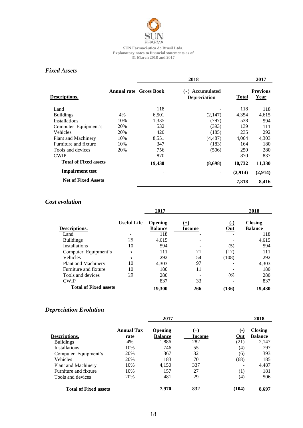

# *Fixed Assets*

|                              |     |                               | 2018                                   |         | 2017                    |
|------------------------------|-----|-------------------------------|----------------------------------------|---------|-------------------------|
| <b>Descriptions.</b>         |     | <b>Annual rate Gross Book</b> | (-) Accumulated<br><b>Depreciation</b> | Total   | <b>Previous</b><br>Year |
| Land                         |     | 118                           |                                        | 118     | 118                     |
| <b>Buildings</b>             | 4%  | 6,501                         | (2,147)                                | 4,354   | 4,615                   |
| <b>Installations</b>         | 10% | 1,335                         | (797)                                  | 538     | 594                     |
| Computer Equipment's         | 20% | 532                           | (393)                                  | 139     | 111                     |
| Vehicles                     | 20% | 420                           | (185)                                  | 235     | 292                     |
| Plant and Machinery          | 10% | 8,551                         | (4, 487)                               | 4,064   | 4,303                   |
| Furniture and fixture        | 10% | 347                           | (183)                                  | 164     | 180                     |
| Tools and devices            | 20% | 756                           | (506)                                  | 250     | 280                     |
| <b>CWIP</b>                  |     | 870                           |                                        | 870     | 837                     |
| <b>Total of Fixed assets</b> |     | 19,430                        | (8,698)                                | 10,732  | 11,330                  |
| <b>Impairment test</b>       |     |                               |                                        | (2,914) | (2,914)                 |
| <b>Net of Fixed Assets</b>   |     |                               |                                        | 7,818   | 8,416                   |
|                              |     |                               |                                        |         |                         |

# *Cost evolution*

|                              |                    | 2017                             |                 |              | 2018                             |
|------------------------------|--------------------|----------------------------------|-----------------|--------------|----------------------------------|
| Descriptions.                | <b>Useful Life</b> | <b>Opening</b><br><b>Balance</b> | $(+)$<br>Income | $(-)$<br>Out | <b>Closing</b><br><b>Balance</b> |
| Land                         |                    | 118                              |                 |              | 118                              |
| <b>Buildings</b>             | 25                 | 4,615                            |                 |              | 4,615                            |
| <b>Installations</b>         | 10                 | 594                              |                 | (5)          | 594                              |
| Computer Equipment's         | 5                  | 111                              | 71              | (17)         | 111                              |
| Vehicles                     | 5                  | 292                              | 54              | (108)        | 292                              |
| Plant and Machinery          | 10                 | 4,303                            | 97              |              | 4,303                            |
| Furniture and fixture        | 10                 | 180                              | 11              |              | 180                              |
| Tools and devices            | 20                 | 280                              |                 | (6)          | 280                              |
| <b>CWIP</b>                  |                    | 837                              | 33              |              | 837                              |
| <b>Total of Fixed assets</b> |                    | 19,300                           | 266             | (136)        | 19,430                           |

# *Depreciation Evolution*

|                              |                           | 2017                             |                    |              | 2018                             |
|------------------------------|---------------------------|----------------------------------|--------------------|--------------|----------------------------------|
| Descriptions.                | <b>Annual Tax</b><br>rate | <b>Opening</b><br><b>Balance</b> | $^{(+)}$<br>Income | $(-)$<br>Out | <b>Closing</b><br><b>Balance</b> |
| <b>Buildings</b>             | 4%                        | 1,886                            | 282                | (21)         | 2,147                            |
| Installations                | 10%                       | 746                              | 55                 | (4)          | 797                              |
| Computer Equipment's         | 20%                       | 367                              | 32                 | (6)          | 393                              |
| Vehicles                     | 20%                       | 183                              | 70                 | (68)         | 185                              |
| Plant and Machinery          | 10%                       | 4,150                            | 337                |              | 4,487                            |
| Furniture and fixture        | 10%                       | 157                              | 27                 | (1)          | 181                              |
| Tools and devices            | 20%                       | 481                              | 29                 | (4)          | 506                              |
| <b>Total of Fixed assets</b> |                           | 7,970                            | 832                | (104)        | 8.697                            |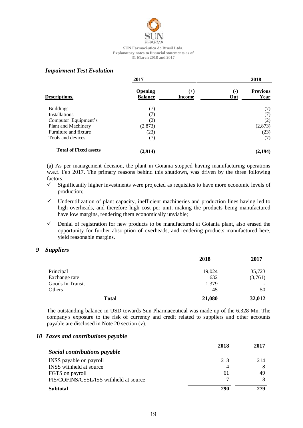

# *Impairment Test Evolution*

|                              | 2017                      |                 |                               | 2018                    |
|------------------------------|---------------------------|-----------------|-------------------------------|-------------------------|
| Descriptions.                | Opening<br><b>Balance</b> | $(+)$<br>Income | $\left( \cdot \right)$<br>Out | <b>Previous</b><br>Year |
| <b>Buildings</b>             | (7)                       |                 |                               | (7)                     |
| <b>Installations</b>         | (7)                       |                 |                               | (7)                     |
| Computer Equipment's         | (2)                       |                 |                               | (2)                     |
| Plant and Machinery          | (2,873)                   |                 |                               | (2,873)                 |
| Furniture and fixture        | (23)                      |                 |                               | (23)                    |
| Tools and devices            | (7)                       |                 |                               | (7)                     |
| <b>Total of Fixed assets</b> | (2,914)                   |                 |                               | (2, 194)                |

(a) As per management decision, the plant in Goiania stopped having manufacturing operations w.e.f. Feb 2017. The primary reasons behind this shutdown, was driven by the three following factors:

- $\checkmark$  Significantly higher investments were projected as requisites to have more economic levels of production;
- $\checkmark$  Underutilization of plant capacity, inefficient machineries and production lines having led to high overheads, and therefore high cost per unit, making the products being manufactured have low margins, rendering them economically unviable;
- $\checkmark$  Denial of registration for new products to be manufactured at Goiania plant, also erased the opportunity for further absorption of overheads, and rendering products manufactured here, yield reasonable margins.

# *9 Suppliers*

|                  | 2018   | 2017    |
|------------------|--------|---------|
| Principal        | 19,024 | 35,723  |
| Exchange rate    | 632    | (3,761) |
| Goods In Transit | 1,379  |         |
| Others           | 45     | 50      |
| <b>Total</b>     | 21,080 | 32,012  |

The outstanding balance in USD towards Sun Pharmaceutical was made up of the 6,328 Mn. The company's exposure to the risk of currency and credit related to suppliers and other accounts payable are disclosed in Note 20 section (v).

# *10 Taxes and contributions payable*

|                                        | 2018 | 2017 |
|----------------------------------------|------|------|
| Social contributions payable           |      |      |
| INSS payable on payroll                | 218  | 214  |
| INSS withheld at source                |      |      |
| FGTS on payroll                        | 61   | 49   |
| PIS/COFINS/CSSL/ISS withheld at source |      |      |
| <b>Subtotal</b>                        | 290  | 279  |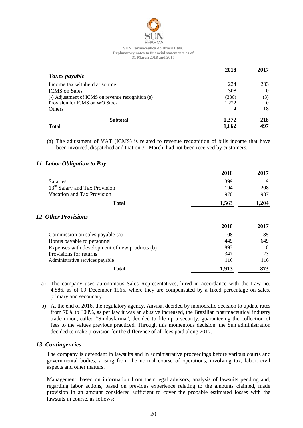

|                                                   | 2018  | 2017     |
|---------------------------------------------------|-------|----------|
| Taxes payable                                     |       |          |
| Income tax withheld at source                     | 224   | 203      |
| <b>ICMS</b> on Sales                              | 308   | $\Omega$ |
| (-) Adjustment of ICMS on revenue recognition (a) | (386) | (3)      |
| Provision for ICMS on WO Stock                    | 1,222 | $\theta$ |
| Others                                            | 4     | 18       |
| <b>Subtotal</b>                                   | 1,372 | 218      |
| Total                                             | 1,662 | 497      |

(a) The adjustment of VAT (ICMS) is related to revenue recognition of bills income that have been invoiced, dispatched and that on 31 March, had not been received by customers.

# *11 Labor Obligation to Pay*

*12 Other Provisions*

| 2018  | 2017     |
|-------|----------|
| 399   | 9        |
| 194   | 208      |
| 970   | 987      |
| 1,563 | 1,204    |
|       |          |
| 2018  | 2017     |
| 108   | 85       |
| 449   | 649      |
| 893   | $\Omega$ |
| 347   | 23       |
| 116   | 116      |
| 1,913 | 873      |
|       |          |

- a) The company uses autonomous Sales Representatives, hired in accordance with the Law no. 4.886, as of 09 December 1965, where they are compensated by a fixed percentage on sales, primary and secondary.
- b) At the end of 2016, the regulatory agency, Anvisa, decided by monocratic decision to update rates from 70% to 300%, as per law it was an abusive increased, the Brazilian pharmaceutical industry trade union, called "Sindusfarma", decided to file up a security, guaranteeing the collection of fees to the values previous practiced. Through this momentous decision, the Sun administration decided to make provision for the difference of all fees paid along 2017.

# *13 Contingencies*

The company is defendant in lawsuits and in administrative proceedings before various courts and governmental bodies, arising from the normal course of operations, involving tax, labor, civil aspects and other matters.

Management, based on information from their legal advisors, analysis of lawsuits pending and, regarding labor actions, based on previous experience relating to the amounts claimed, made provision in an amount considered sufficient to cover the probable estimated losses with the lawsuits in course, as follows: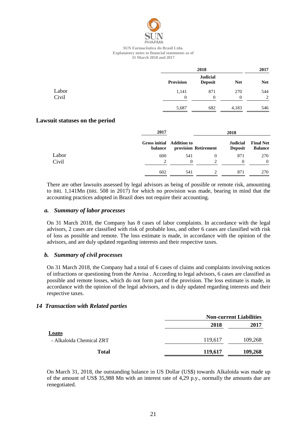

|       |                  | 2018                              |            |            |
|-------|------------------|-----------------------------------|------------|------------|
|       | <b>Provision</b> | <b>Judicial</b><br><b>Deposit</b> | <b>Net</b> | <b>Net</b> |
| Labor | 1,141            | 871                               | 270        | 544        |
| Civil | $\Omega$         | $\mathbf{0}$                      | $\Omega$   | 2          |
|       | 5,687            | 682                               | 4,183      | 546        |

# **Lawsuit statuses on the period**

|       | 2017                                 | 2018 |                               |                                   |                                    |
|-------|--------------------------------------|------|-------------------------------|-----------------------------------|------------------------------------|
|       | Gross initial Addition to<br>balance |      | provision Retirement          | <b>Judicial</b><br><b>Deposit</b> | <b>Final Net</b><br><b>Balance</b> |
| Labor | 600                                  | 541  | $^{()}$                       | 871                               | 270                                |
| Civil | $\mathfrak{D}$                       | 0    | $\mathfrak{D}_{\mathfrak{p}}$ | 0                                 | $\Omega$                           |
|       | 602                                  | 541  |                               | 871                               | 270                                |

There are other lawsuits assessed by legal advisors as being of possible or remote risk, amounting to BRL 1,141Mn (BRL 508 in 2017) for which no provision was made, bearing in mind that the accounting practices adopted in Brazil does not require their accounting.

# *a. Summary of labor processes*

On 31 March 2018, the Company has 8 cases of labor complaints. In accordance with the legal advisors, 2 cases are classified with risk of probable loss, and other 6 cases are classified with risk of loss as possible and remote. The loss estimate is made, in accordance with the opinion of the advisors, and are duly updated regarding interests and their respective taxes.

# *b. Summary of civil processes*

On 31 March 2018, the Company had a total of 6 cases of claims and complaints involving notices of infractions or questioning from the Anvisa . According to legal advisors, 6 cases are classified as possible and remote losses, which do not form part of the provision. The loss estimate is made, in accordance with the opinion of the legal advisors, and is duly updated regarding interests and their respective taxes.

# *14 Transaction with Related parties*

|                          |         | <b>Non-current Liabilities</b> |  |  |
|--------------------------|---------|--------------------------------|--|--|
|                          | 2018    | 2017                           |  |  |
| Loans                    |         |                                |  |  |
| - Alkaloida Chemical ZRT | 119,617 | 109,268                        |  |  |
| <b>Total</b>             | 119,617 | 109,268                        |  |  |

On March 31, 2018, the outstanding balance in US Dollar (US\$) towards Alkaloida was made up of the amount of US\$ 35,988 Mn with an interest rate of 4,29 p.y., normally the amounts due are renegotiated.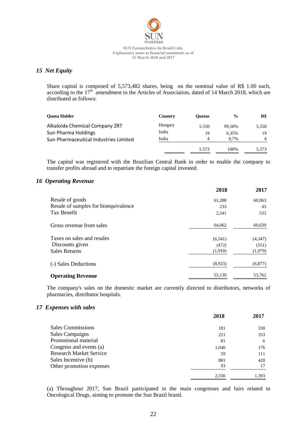

# *15 Net Equity*

Share capital is composed of 5,573,482 shares, being on the nominal value of R\$ 1.00 each, according to the  $17<sup>th</sup>$  amendment to the Articles of Association, dated of 14 March 2018, which are distributed as follows:

| <b>Ouota Holder</b>                   | Country | <b>Ouotas</b> | $\frac{0}{0}$ | R\$            |
|---------------------------------------|---------|---------------|---------------|----------------|
| Alkaloida Chemical Company ZRT        | Hungary | 5.550         | 99.58%        | 5,550          |
| Sun Pharma Holdings                   | India   | 19            | 0.35%         | 19             |
| Sun Pharmaceutical Industries Limited | India   | 4             | $0.7\%$       | $\overline{4}$ |
|                                       |         | 5.573         | 100%          | 5.573          |

The capital was registered with the Brazilian Central Bank in order to enable the company to transfer profits abroad and to repatriate the foreign capital invested.

# *16 Operating Revenue*

|                                      | 2018     | 2017    |
|--------------------------------------|----------|---------|
| Resale of goods                      | 61,288   | 60,063  |
| Resale of samples for bioequivalence | 233      | 43      |
| Tax Benefit                          | 2,541    | 533     |
| Gross revenue from sales             | 64,062   | 60,639  |
| Taxes on sales and resales           | (6, 541) | (4,347) |
| Discounts given                      | (472)    | (551)   |
| <b>Sales Returns</b>                 | (1,910)  | (1,979) |
| (-) Sales Deductions                 | (8,923)  | (6,877) |
| <b>Operating Revenue</b>             | 55,139   | 53,762  |

The company's sales on the domestic market are currently directed to distributors, networks of pharmacies, distributor hospitals.

# *17 Expenses with sales*

|                                | 2018  | 2017  |
|--------------------------------|-------|-------|
| <b>Sales Commissions</b>       | 181   | 330   |
| Sales Campaigns                | 221   | 333   |
| Promotional material           | 81    | 6     |
| Congress and events (a)        | 1,040 | 176   |
| <b>Research Market Service</b> | 59    | 111   |
| Sales Incentive (b)            | 881   | 420   |
| Other promotion expenses       | 93    | 17    |
|                                | 2,556 | 1,393 |

(a) Throughout 2017, Sun Brazil participated in the main congresses and fairs related to Oncological Drugs, aiming to promote the Sun Brazil brand.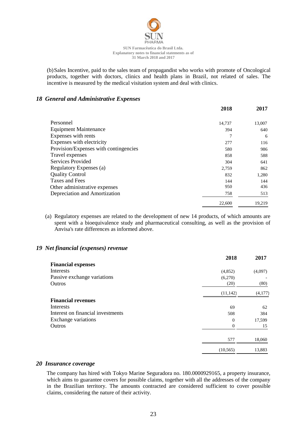

(b)Sales Incentive, paid to the sales team of propagandist who works with promote of Oncological products, together with doctors, clinics and health plans in Brazil, not related of sales. The incentive is measured by the medical visitation system and deal with clinics.

# *18 General and Administrative Expenses*

|                                       | 2018   | 2017   |
|---------------------------------------|--------|--------|
| Personnel                             | 14,737 | 13,007 |
| <b>Equipment Maintenance</b>          | 394    | 640    |
| Expenses with rents                   | 7      | 6      |
| Expenses with electricity             | 277    | 116    |
| Provision/Expenses with contingencies | 580    | 986    |
| Travel expenses                       | 858    | 588    |
| <b>Services Provided</b>              | 304    | 641    |
| Regulatory Expenses (a)               | 2,759  | 862    |
| <b>Quality Control</b>                | 832    | 1,280  |
| Taxes and Fees                        | 144    | 144    |
| Other administrative expenses         | 950    | 436    |
| Depreciation and Amortization         | 758    | 513    |
|                                       | 22,600 | 19,219 |

(a) Regulatory expenses are related to the development of new 14 products, of which amounts are spent with a bioequivalence study and pharmaceutical consulting, as well as the provision of Anvisa's rate differences as informed above.

# *19 Net financial (expenses) revenue*

|                                   | 2018      | 2017    |
|-----------------------------------|-----------|---------|
| <b>Financial expenses</b>         |           |         |
| Interests                         | (4,852)   | (4,097) |
| Passive exchange variations       | (6,270)   |         |
| Outros                            | (20)      | (80)    |
|                                   | (11, 142) | (4,177) |
| <b>Financial revenues</b>         |           |         |
| Interests                         | 69        | 62      |
| Interest on financial investments | 508       | 384     |
| Exchange variations               | $\theta$  | 17,599  |
| Outros                            | $\theta$  | 15      |
|                                   | 577       | 18,060  |
|                                   | (10, 565) | 13,883  |

# *20 Insurance coverage*

The company has hired with Tokyo Marine Seguradora no. 180.0000929165, a property insurance, which aims to guarantee covers for possible claims, together with all the addresses of the company in the Brazilian territory. The amounts contracted are considered sufficient to cover possible claims, considering the nature of their activity.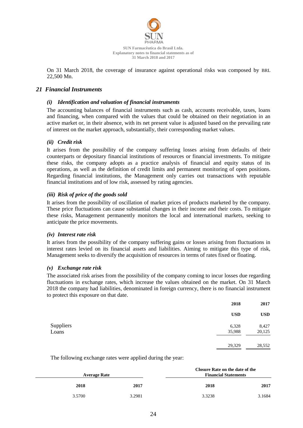

On 31 March 2018, the coverage of insurance against operational risks was composed by BRL 22,500 Mn.

# *21 Financial Instruments*

# *(i) Identification and valuation of financial instruments*

The accounting balances of financial instruments such as cash, accounts receivable, taxes, loans and financing, when compared with the values that could be obtained on their negotiation in an active market or, in their absence, with its net present value is adjusted based on the prevailing rate of interest on the market approach, substantially, their corresponding market values.

# *(ii) Credit risk*

It arises from the possibility of the company suffering losses arising from defaults of their counterparts or depositary financial institutions of resources or financial investments. To mitigate these risks, the company adopts as a practice analysis of financial and equity status of its operations, as well as the definition of credit limits and permanent monitoring of open positions. Regarding financial institutions, the Management only carries out transactions with reputable financial institutions and of low risk, assessed by rating agencies.

# *(iii) Risk of price of the goods sold*

It arises from the possibility of oscillation of market prices of products marketed by the company. These price fluctuations can cause substantial changes in their income and their costs. To mitigate these risks, Management permanently monitors the local and international markets, seeking to anticipate the price movements.

# *(iv) Interest rate risk*

It arises from the possibility of the company suffering gains or losses arising from fluctuations in interest rates levied on its financial assets and liabilities. Aiming to mitigate this type of risk, Management seeks to diversify the acquisition of resources in terms of rates fixed or floating.

# *(v) Exchange rate risk*

The associated risk arises from the possibility of the company coming to incur losses due regarding fluctuations in exchange rates, which increase the values obtained on the market. On 31 March 2018 the company had liabilities, denominated in foreign currency, there is no financial instrument to protect this exposure on that date.

|           | 2018       | 2017       |
|-----------|------------|------------|
|           | <b>USD</b> | <b>USD</b> |
| Suppliers | 6,328      | 8,427      |
| Loans     | 35,988     | 20,125     |
|           | 29,329     | 28,552     |

The following exchange rates were applied during the year:

| <b>Average Rate</b> |        | Closure Rate on the date of the<br><b>Financial Statements</b> |        |        |
|---------------------|--------|----------------------------------------------------------------|--------|--------|
|                     | 2018   | 2017                                                           | 2018   | 2017   |
|                     | 3.5700 | 3.2981                                                         | 3.3238 | 3.1684 |